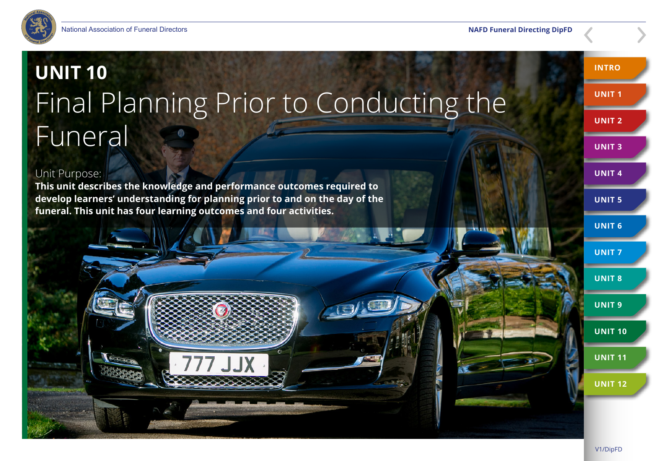

# **UNIT 10**  Final Planning Prior to Conducting the Funeral

#### Unit Purpose:

**This unit describes the knowledge and performance outcomes required to develop learners' understanding for planning prior to and on the day of the funeral. This unit has four learning outcomes and four activities.**



**INTRO**

**UNIT 1**

**UNIT 2**

**UNIT 3**

**UNIT 4**

**UNIT 5**

**UNIT 6**

**UNIT 7**

**UNIT 8**

**UNIT 9**

**UNIT 10**

**UNIT 11**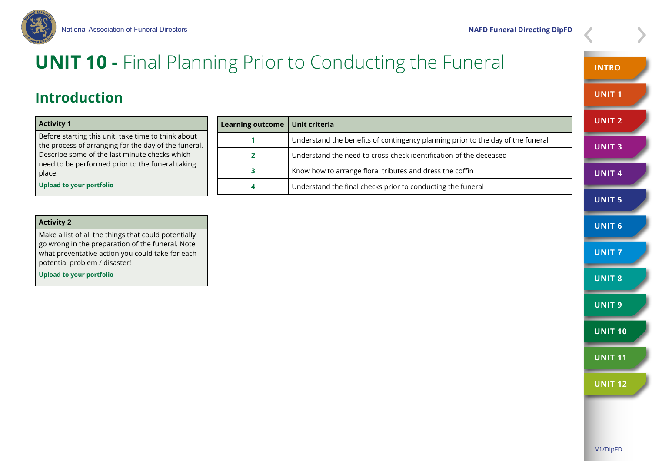

## **UNIT 10 -** Final Planning Prior to Conducting the Funeral

### **Introduction**

#### **Activity 1**

Before starting this unit, take time to think about the process of arranging for the day of the funeral. Describe some of the last minute checks which need to be performed prior to the funeral taking place.

**Upload to your portfolio**

| Learning outcome   Unit criteria |                                                                                 |
|----------------------------------|---------------------------------------------------------------------------------|
|                                  | Understand the benefits of contingency planning prior to the day of the funeral |
|                                  | Understand the need to cross-check identification of the deceased               |
| 3                                | Know how to arrange floral tributes and dress the coffin                        |
| 4                                | Understand the final checks prior to conducting the funeral                     |

#### **Activity 2**

Make a list of all the things that could potentially go wrong in the preparation of the funeral. Note what preventative action you could take for each potential problem / disaster!

**Upload to your portfolio**

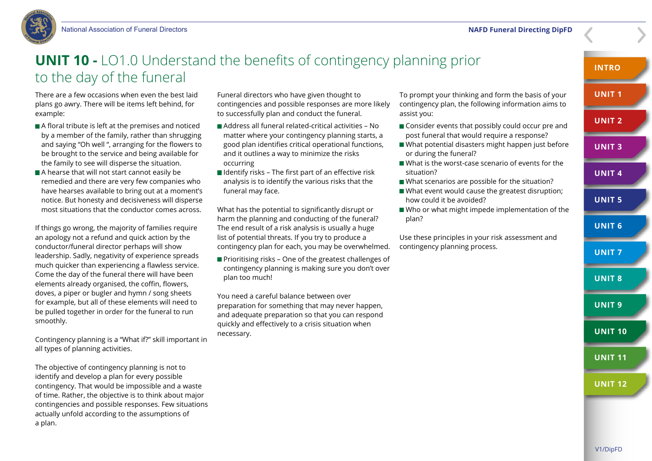

### **UNIT 10 -** LO1.0 Understand the benefits of contingency planning prior to the day of the funeral

There are a few occasions when even the best laid plans go awry. There will be items left behind, for example:

- A floral tribute is left at the premises and noticed by a member of the family, rather than shrugging and saying "Oh well ", arranging for the flowers to be brought to the service and being available for the family to see will disperse the situation.
- A hearse that will not start cannot easily be remedied and there are very few companies who have hearses available to bring out at a moment's notice. But honesty and decisiveness will disperse most situations that the conductor comes across.

If things go wrong, the majority of families require an apology not a refund and quick action by the conductor/funeral director perhaps will show leadership. Sadly, negativity of experience spreads much quicker than experiencing a flawless service. Come the day of the funeral there will have been elements already organised, the coffin, flowers, doves, a piper or bugler and hymn / song sheets for example, but all of these elements will need to be pulled together in order for the funeral to run smoothly.

Contingency planning is a "What if?" skill important in all types of planning activities.

The objective of contingency planning is not to identify and develop a plan for every possible contingency. That would be impossible and a waste of time. Rather, the objective is to think about major contingencies and possible responses. Few situations actually unfold according to the assumptions of a plan.

Funeral directors who have given thought to contingencies and possible responses are more likely to successfully plan and conduct the funeral.

- Address all funeral related-critical activities No matter where your contingency planning starts, a good plan identifies critical operational functions, and it outlines a way to minimize the risks occurring
- $\blacksquare$  Identify risks The first part of an effective risk analysis is to identify the various risks that the funeral may face.

What has the potential to significantly disrupt or harm the planning and conducting of the funeral? The end result of a risk analysis is usually a huge list of potential threats. If you try to produce a contingency plan for each, you may be overwhelmed.

 $\blacksquare$  Prioritising risks – One of the greatest challenges of contingency planning is making sure you don't over plan too much!

You need a careful balance between over preparation for something that may never happen, and adequate preparation so that you can respond quickly and effectively to a crisis situation when necessary.

To prompt your thinking and form the basis of your contingency plan, the following information aims to assist you:

- Consider events that possibly could occur pre and post funeral that would require a response?
- What potential disasters might happen just before or during the funeral?
- What is the worst-case scenario of events for the situation?
- What scenarios are possible for the situation?
- What event would cause the greatest disruption: how could it be avoided?
- Who or what might impede implementation of the plan?

Use these principles in your risk assessment and contingency planning process.

**INTRO**

**UNIT 1**

**UNIT 2**

**UNIT 3**

**UNIT 4**

**UNIT 5**

**UNIT 6**

**UNIT 7**

**UNIT 8**

**UNIT 9**

**UNIT 10**

**UNIT 11**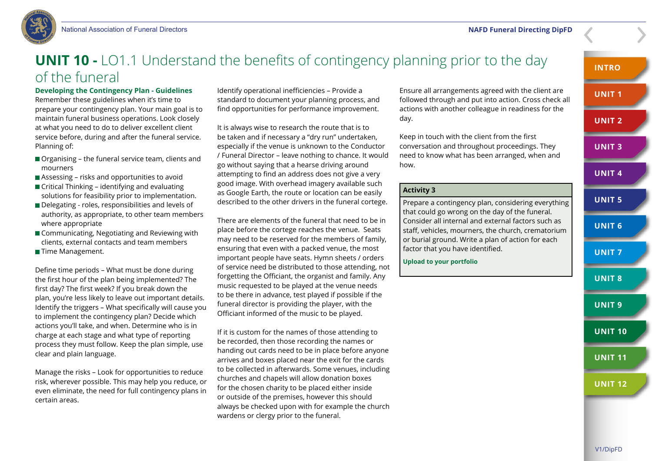

### **UNIT 10 -** LO1.1 Understand the benefits of contingency planning prior to the day of the funeral

#### **Developing the Contingency Plan - Guidelines**

Remember these guidelines when it's time to prepare your contingency plan. Your main goal is to maintain funeral business operations. Look closely at what you need to do to deliver excellent client service before, during and after the funeral service. Planning of:

- Organising the funeral service team, clients and mourners
- Assessing risks and opportunities to avoid
- $\blacksquare$  Critical Thinking identifying and evaluating solutions for feasibility prior to implementation.
- Delegating roles, responsibilities and levels of authority, as appropriate, to other team members where appropriate
- Communicating, Negotiating and Reviewing with clients, external contacts and team members
- **Time Management.**

Define time periods – What must be done during the first hour of the plan being implemented? The first day? The first week? If you break down the plan, you're less likely to leave out important details. Identify the triggers – What specifically will cause you to implement the contingency plan? Decide which actions you'll take, and when. Determine who is in charge at each stage and what type of reporting process they must follow. Keep the plan simple, use clear and plain language.

Manage the risks – Look for opportunities to reduce risk, wherever possible. This may help you reduce, or even eliminate, the need for full contingency plans in certain areas.

Identify operational inefficiencies – Provide a standard to document your planning process, and find opportunities for performance improvement.

It is always wise to research the route that is to be taken and if necessary a "dry run" undertaken, especially if the venue is unknown to the Conductor / Funeral Director – leave nothing to chance. It would go without saying that a hearse driving around attempting to find an address does not give a very good image. With overhead imagery available such as Google Earth, the route or location can be easily described to the other drivers in the funeral cortege.

There are elements of the funeral that need to be in place before the cortege reaches the venue. Seats may need to be reserved for the members of family, ensuring that even with a packed venue, the most important people have seats. Hymn sheets / orders of service need be distributed to those attending, not forgetting the Officiant, the organist and family. Any music requested to be played at the venue needs to be there in advance, test played if possible if the funeral director is providing the player, with the Officiant informed of the music to be played.

If it is custom for the names of those attending to be recorded, then those recording the names or handing out cards need to be in place before anyone arrives and boxes placed near the exit for the cards to be collected in afterwards. Some venues, including churches and chapels will allow donation boxes for the chosen charity to be placed either inside or outside of the premises, however this should always be checked upon with for example the church wardens or clergy prior to the funeral.

Ensure all arrangements agreed with the client are followed through and put into action. Cross check all actions with another colleague in readiness for the day.

Keep in touch with the client from the first conversation and throughout proceedings. They need to know what has been arranged, when and how.

#### **Activity 3**

Prepare a contingency plan, considering everything that could go wrong on the day of the funeral. Consider all internal and external factors such as staff, vehicles, mourners, the church, crematorium or burial ground. Write a plan of action for each factor that you have identified.

**Upload to your portfolio**

**INTRO**

**UNIT 1**

**UNIT 2**

**UNIT 3**

**UNIT 4**

**UNIT 5**

**UNIT 6**

**UNIT 7**

**UNIT 8**

**UNIT 9**

**UNIT 10**

**UNIT 11**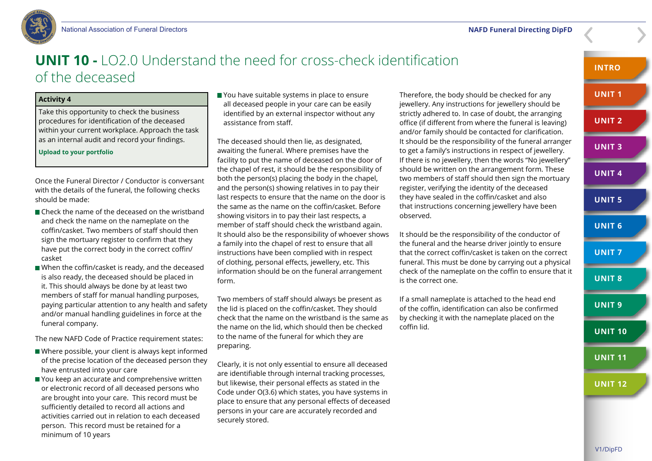

### **UNIT 10 -** LO2.0 Understand the need for cross-check identification of the deceased

#### **Activity 4**

Take this opportunity to check the business procedures for identification of the deceased within your current workplace. Approach the task as an internal audit and record your findings.

#### **Upload to your portfolio**

Once the Funeral Director / Conductor is conversant with the details of the funeral, the following checks should be made:

- Check the name of the deceased on the wristband and check the name on the nameplate on the coffin/casket. Two members of staff should then sign the mortuary register to confirm that they have put the correct body in the correct coffin/ casket
- When the coffin/casket is ready, and the deceased is also ready, the deceased should be placed in it. This should always be done by at least two members of staff for manual handling purposes, paying particular attention to any health and safety and/or manual handling guidelines in force at the funeral company.

The new NAFD Code of Practice requirement states:

- Where possible, your client is always kept informed of the precise location of the deceased person they have entrusted into your care
- You keep an accurate and comprehensive written or electronic record of all deceased persons who are brought into your care. This record must be sufficiently detailed to record all actions and activities carried out in relation to each deceased person. This record must be retained for a minimum of 10 years

You have suitable systems in place to ensure all deceased people in your care can be easily identified by an external inspector without any assistance from staff.

The deceased should then lie, as designated, awaiting the funeral. Where premises have the facility to put the name of deceased on the door of the chapel of rest, it should be the responsibility of both the person(s) placing the body in the chapel, and the person(s) showing relatives in to pay their last respects to ensure that the name on the door is the same as the name on the coffin/casket. Before showing visitors in to pay their last respects, a member of staff should check the wristband again. It should also be the responsibility of whoever shows a family into the chapel of rest to ensure that all instructions have been complied with in respect of clothing, personal effects, jewellery, etc. This information should be on the funeral arrangement form.

Two members of staff should always be present as the lid is placed on the coffin/casket. They should check that the name on the wristband is the same as the name on the lid, which should then be checked to the name of the funeral for which they are preparing.

Clearly, it is not only essential to ensure all deceased are identifiable through internal tracking processes, but likewise, their personal effects as stated in the Code under O(3.6) which states, you have systems in place to ensure that any personal effects of deceased persons in your care are accurately recorded and securely stored.

Therefore, the body should be checked for any jewellery. Any instructions for jewellery should be strictly adhered to. In case of doubt, the arranging office (if different from where the funeral is leaving) and/or family should be contacted for clarification. It should be the responsibility of the funeral arranger to get a family's instructions in respect of jewellery. If there is no jewellery, then the words "No jewellery" should be written on the arrangement form. These two members of staff should then sign the mortuary register, verifying the identity of the deceased they have sealed in the coffin/casket and also that instructions concerning jewellery have been observed.

It should be the responsibility of the conductor of the funeral and the hearse driver jointly to ensure that the correct coffin/casket is taken on the correct funeral. This must be done by carrying out a physical check of the nameplate on the coffin to ensure that it is the correct one.

If a small nameplate is attached to the head end of the coffin, identification can also be confirmed by checking it with the nameplate placed on the coffin lid.

**INTRO**

**UNIT 3**

**UNIT 2**

**UNIT 4**

**UNIT 7**

**UNIT 8**

**UNIT 9**

**UNIT 10**

**UNIT 11**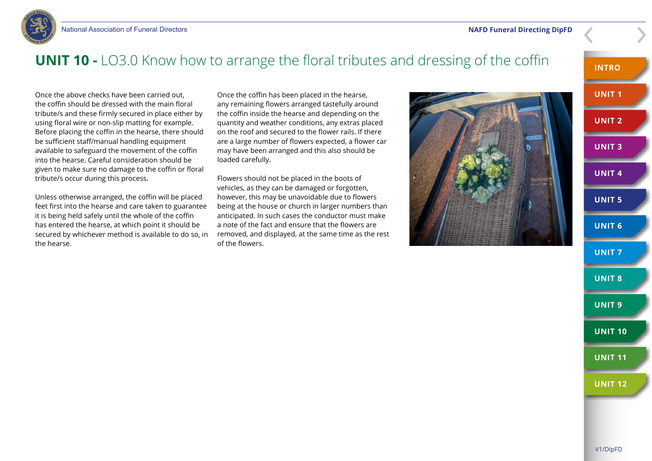



### **UNIT 10 -** LO3.0 Know how to arrange the floral tributes and dressing of the coffin

Once the above checks have been carried out, the coffin should be dressed with the main floral tribute/s and these firmly secured in place either by using floral wire or non-slip matting for example. Before placing the coffin in the hearse, there should be sufficient staff/manual handling equipment available to safeguard the movement of the coffin into the hearse. Careful consideration should be given to make sure no damage to the coffin or floral tribute/s occur during this process.

Unless otherwise arranged, the coffin will be placed feet first into the hearse and care taken to guarantee it is being held safely until the whole of the coffin has entered the hearse, at which point it should be secured by whichever method is available to do so, in the hearse.

Once the coffin has been placed in the hearse, any remaining flowers arranged tastefully around the coffin inside the hearse and depending on the quantity and weather conditions, any extras placed on the roof and secured to the flower rails. If there are a large number of flowers expected, a flower car may have been arranged and this also should be loaded carefully.

Flowers should not be placed in the boots of vehicles, as they can be damaged or forgotten, however, this may be unavoidable due to flowers being at the house or church in larger numbers than anticipated. In such cases the conductor must make a note of the fact and ensure that the flowers are removed, and displayed, at the same time as the rest of the flowers.



**INTRO UNIT 1 UNIT 2 UNIT 3 UNIT 4 UNIT 5 UNIT 6 UNIT 7 UNIT 8 UNIT 9 UNIT 10 UNIT 11 UNIT 12**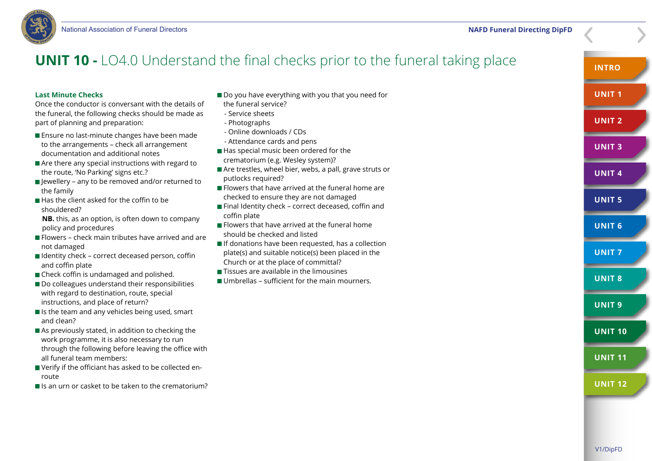

### **UNIT 10 -** LO4.0 Understand the final checks prior to the funeral taking place

#### **Last Minute Checks**

Once the conductor is conversant with the details of the funeral, the following checks should be made as part of planning and preparation:

- **Ensure no last-minute changes have been made** to the arrangements – check all arrangement documentation and additional notes
- Are there any special instructions with regard to the route, 'No Parking' signs etc.?
- $\blacksquare$  lewellery any to be removed and/or returned to the family
- $\blacksquare$  Has the client asked for the coffin to be shouldered?

 **NB.** this, as an option, is often down to company policy and procedures

- **Flowers check main tributes have arrived and are** not damaged
- $\blacksquare$  Identity check correct deceased person, coffin and coffin plate
- Check coffin is undamaged and polished.
- Do colleagues understand their responsibilities with regard to destination, route, special instructions, and place of return?
- $\blacksquare$  Is the team and any vehicles being used, smart and clean?
- As previously stated, in addition to checking the work programme, it is also necessary to run through the following before leaving the office with all funeral team members:
- Verify if the officiant has asked to be collected enroute
- $\blacksquare$  Is an urn or casket to be taken to the crematorium?
- Do you have everything with you that you need for
- the funeral service?
- Service sheets
- Photographs
- Online downloads / CDs
- Attendance cards and pens
- Has special music been ordered for the crematorium (e.g. Wesley system)?
- Are trestles, wheel bier, webs, a pall, grave struts or putlocks required?
- $\blacksquare$  Flowers that have arrived at the funeral home are checked to ensure they are not damaged
- Final Identity check correct deceased, coffin and coffin plate
- $\blacksquare$  Flowers that have arrived at the funeral home should be checked and listed
- $\blacksquare$  If donations have been requested, has a collection plate(s) and suitable notice(s) been placed in the Church or at the place of committal?
- **Tissues are available in the limousines**
- Umbrellas sufficient for the main mourners.



**INTRO**